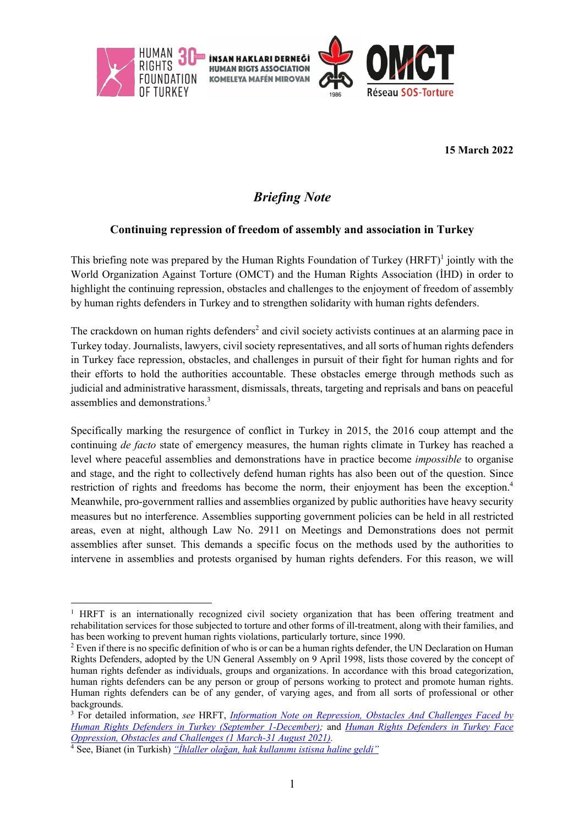

**15 March 2022**

# *Briefing Note*

### **Continuing repression of freedom of assembly and association in Turkey**

This briefing note was prepared by the Human Rights Foundation of Turkey  $(HRFT)^1$  jointly with the World Organization Against Torture (OMCT) and the Human Rights Association (İHD) in order to highlight the continuing repression, obstacles and challenges to the enjoyment of freedom of assembly by human rights defenders in Turkey and to strengthen solidarity with human rights defenders.

The crackdown on human rights defenders<sup>2</sup> and civil society activists continues at an alarming pace in Turkey today. Journalists, lawyers, civil society representatives, and all sorts of human rights defenders in Turkey face repression, obstacles, and challenges in pursuit of their fight for human rights and for their efforts to hold the authorities accountable. These obstacles emerge through methods such as judicial and administrative harassment, dismissals, threats, targeting and reprisals and bans on peaceful assemblies and demonstrations.3

Specifically marking the resurgence of conflict in Turkey in 2015, the 2016 coup attempt and the continuing *de facto* state of emergency measures, the human rights climate in Turkey has reached a level where peaceful assemblies and demonstrations have in practice become *impossible* to organise and stage, and the right to collectively defend human rights has also been out of the question. Since restriction of rights and freedoms has become the norm, their enjoyment has been the exception.<sup>4</sup> Meanwhile, pro-government rallies and assemblies organized by public authorities have heavy security measures but no interference. Assemblies supporting government policies can be held in all restricted areas, even at night, although Law No. 2911 on Meetings and Demonstrations does not permit assemblies after sunset. This demands a specific focus on the methods used by the authorities to intervene in assemblies and protests organised by human rights defenders. For this reason, we will

<sup>&</sup>lt;sup>1</sup> HRFT is an internationally recognized civil society organization that has been offering treatment and rehabilitation services for those subjected to torture and other forms of ill-treatment, along with their families, and has been working to prevent human rights violations, particularly torture, since 1990.

<sup>&</sup>lt;sup>2</sup> Even if there is no specific definition of who is or can be a human rights defender, the UN Declaration on Human Rights Defenders, adopted by the UN General Assembly on 9 April 1998, lists those covered by the concept of human rights defender as individuals, groups and organizations. In accordance with this broad categorization, human rights defenders can be any person or group of persons working to protect and promote human rights. Human rights defenders can be of any gender, of varying ages, and from all sorts of professional or other backgrounds.

<sup>3</sup> For detailed information, *see* HRFT, *Information Note on Repression, Obstacles And Challenges Faced by Human Rights Defenders in Turkey (September 1-December);* and *Human Rights Defenders in Turkey Face Oppression, Obstacles and Challenges (1 March-31 August 2021).*

<sup>4</sup> See, Bianet (in Turkish) *"İhlaller olağan, hak kullanımı istisna haline geldi"*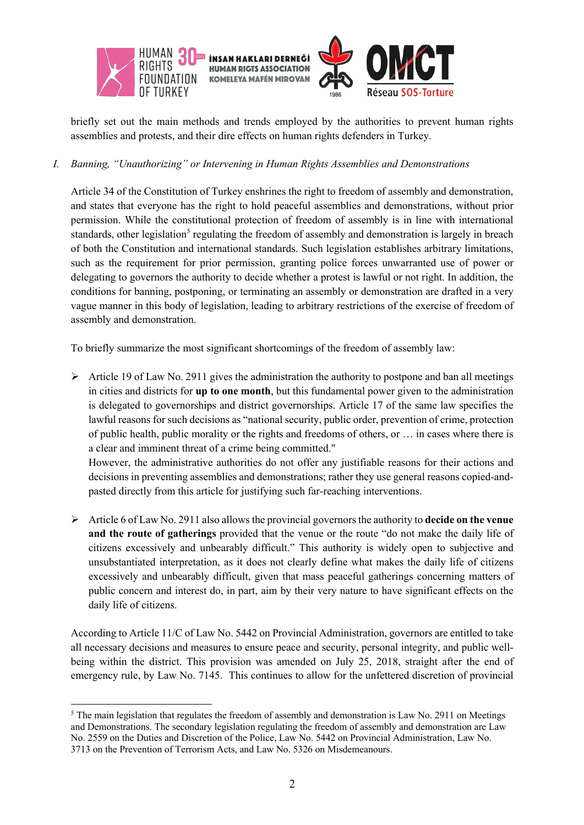

briefly set out the main methods and trends employed by the authorities to prevent human rights assemblies and protests, and their dire effects on human rights defenders in Turkey.

#### *I. Banning, "Unauthorizing" or Intervening in Human Rights Assemblies and Demonstrations*

Article 34 of the Constitution of Turkey enshrines the right to freedom of assembly and demonstration, and states that everyone has the right to hold peaceful assemblies and demonstrations, without prior permission. While the constitutional protection of freedom of assembly is in line with international standards, other legislation<sup>5</sup> regulating the freedom of assembly and demonstration is largely in breach of both the Constitution and international standards. Such legislation establishes arbitrary limitations, such as the requirement for prior permission, granting police forces unwarranted use of power or delegating to governors the authority to decide whether a protest is lawful or not right. In addition, the conditions for banning, postponing, or terminating an assembly or demonstration are drafted in a very vague manner in this body of legislation, leading to arbitrary restrictions of the exercise of freedom of assembly and demonstration.

To briefly summarize the most significant shortcomings of the freedom of assembly law:

 $\triangleright$  Article 19 of Law No. 2911 gives the administration the authority to postpone and ban all meetings in cities and districts for **up to one month**, but this fundamental power given to the administration is delegated to governorships and district governorships. Article 17 of the same law specifies the lawful reasons for such decisions as "national security, public order, prevention of crime, protection of public health, public morality or the rights and freedoms of others, or … in cases where there is a clear and imminent threat of a crime being committed."

However, the administrative authorities do not offer any justifiable reasons for their actions and decisions in preventing assemblies and demonstrations; rather they use general reasons copied-andpasted directly from this article for justifying such far-reaching interventions.

Ø Article 6 of Law No. 2911 also allows the provincial governors the authority to **decide on the venue and the route of gatherings** provided that the venue or the route "do not make the daily life of citizens excessively and unbearably difficult." This authority is widely open to subjective and unsubstantiated interpretation, as it does not clearly define what makes the daily life of citizens excessively and unbearably difficult, given that mass peaceful gatherings concerning matters of public concern and interest do, in part, aim by their very nature to have significant effects on the daily life of citizens.

According to Article 11/C of Law No. 5442 on Provincial Administration, governors are entitled to take all necessary decisions and measures to ensure peace and security, personal integrity, and public wellbeing within the district. This provision was amended on July 25, 2018, straight after the end of emergency rule, by Law No. 7145. This continues to allow for the unfettered discretion of provincial

 $<sup>5</sup>$  The main legislation that regulates the freedom of assembly and demonstration is Law No. 2911 on Meetings</sup> and Demonstrations. The secondary legislation regulating the freedom of assembly and demonstration are Law No. 2559 on the Duties and Discretion of the Police, Law No. 5442 on Provincial Administration, Law No. 3713 on the Prevention of Terrorism Acts, and Law No. 5326 on Misdemeanours.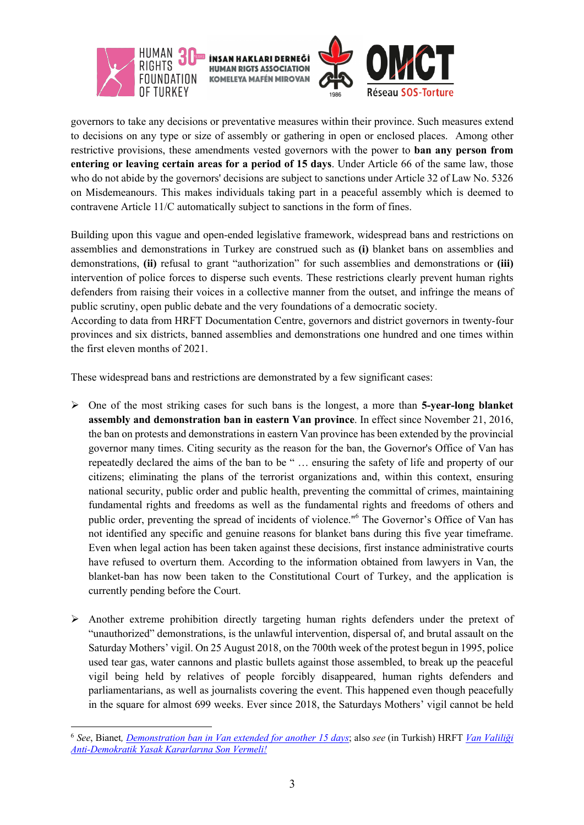

governors to take any decisions or preventative measures within their province. Such measures extend to decisions on any type or size of assembly or gathering in open or enclosed places. Among other restrictive provisions, these amendments vested governors with the power to **ban any person from entering or leaving certain areas for a period of 15 days**. Under Article 66 of the same law, those who do not abide by the governors' decisions are subject to sanctions under Article 32 of Law No. 5326 on Misdemeanours. This makes individuals taking part in a peaceful assembly which is deemed to contravene Article 11/C automatically subject to sanctions in the form of fines.

Building upon this vague and open-ended legislative framework, widespread bans and restrictions on assemblies and demonstrations in Turkey are construed such as **(i)** blanket bans on assemblies and demonstrations, **(ii)** refusal to grant "authorization" for such assemblies and demonstrations or **(iii)** intervention of police forces to disperse such events. These restrictions clearly prevent human rights defenders from raising their voices in a collective manner from the outset, and infringe the means of public scrutiny, open public debate and the very foundations of a democratic society.

According to data from HRFT Documentation Centre, governors and district governors in twenty-four provinces and six districts, banned assemblies and demonstrations one hundred and one times within the first eleven months of 2021.

These widespread bans and restrictions are demonstrated by a few significant cases:

- Ø One of the most striking cases for such bans is the longest, a more than **5-year-long blanket assembly and demonstration ban in eastern Van province**. In effect since November 21, 2016, the ban on protests and demonstrations in eastern Van province has been extended by the provincial governor many times. Citing security as the reason for the ban, the Governor's Office of Van has repeatedly declared the aims of the ban to be " … ensuring the safety of life and property of our citizens; eliminating the plans of the terrorist organizations and, within this context, ensuring national security, public order and public health, preventing the committal of crimes, maintaining fundamental rights and freedoms as well as the fundamental rights and freedoms of others and public order, preventing the spread of incidents of violence."<sup>6</sup> The Governor's Office of Van has not identified any specific and genuine reasons for blanket bans during this five year timeframe. Even when legal action has been taken against these decisions, first instance administrative courts have refused to overturn them. According to the information obtained from lawyers in Van, the blanket-ban has now been taken to the Constitutional Court of Turkey, and the application is currently pending before the Court.
- $\triangleright$  Another extreme prohibition directly targeting human rights defenders under the pretext of "unauthorized" demonstrations, is the unlawful intervention, dispersal of, and brutal assault on the Saturday Mothers' vigil. On 25 August 2018, on the 700th week of the protest begun in 1995, police used tear gas, water cannons and plastic bullets against those assembled, to break up the peaceful vigil being held by relatives of people forcibly disappeared, human rights defenders and parliamentarians, as well as journalists covering the event. This happened even though peacefully in the square for almost 699 weeks. Ever since 2018, the Saturdays Mothers' vigil cannot be held

<sup>6</sup> *See*, Bianet*, Demonstration ban in Van extended for another 15 days*; also *see* (in Turkish) HRFT *Van Valiliği Anti-Demokratik Yasak Kararlarına Son Vermeli!*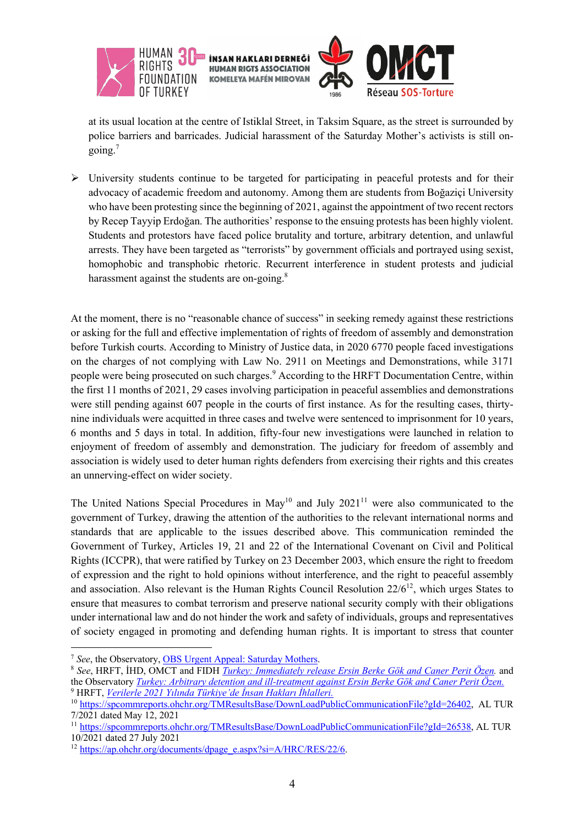

at its usual location at the centre of Istiklal Street, in Taksim Square, as the street is surrounded by police barriers and barricades. Judicial harassment of the Saturday Mother's activists is still ongoing.<sup>7</sup>

 $\triangleright$  University students continue to be targeted for participating in peaceful protests and for their advocacy of academic freedom and autonomy. Among them are students from Boğaziçi University who have been protesting since the beginning of 2021, against the appointment of two recent rectors by Recep Tayyip Erdoğan. The authorities' response to the ensuing protests has been highly violent. Students and protestors have faced police brutality and torture, arbitrary detention, and unlawful arrests. They have been targeted as "terrorists" by government officials and portrayed using sexist, homophobic and transphobic rhetoric. Recurrent interference in student protests and judicial harassment against the students are on-going.<sup>8</sup>

At the moment, there is no "reasonable chance of success" in seeking remedy against these restrictions or asking for the full and effective implementation of rights of freedom of assembly and demonstration before Turkish courts. According to Ministry of Justice data, in 2020 6770 people faced investigations on the charges of not complying with Law No. 2911 on Meetings and Demonstrations, while 3171 people were being prosecuted on such charges.<sup>9</sup> According to the HRFT Documentation Centre, within the first 11 months of 2021, 29 cases involving participation in peaceful assemblies and demonstrations were still pending against 607 people in the courts of first instance. As for the resulting cases, thirtynine individuals were acquitted in three cases and twelve were sentenced to imprisonment for 10 years, 6 months and 5 days in total. In addition, fifty-four new investigations were launched in relation to enjoyment of freedom of assembly and demonstration. The judiciary for freedom of assembly and association is widely used to deter human rights defenders from exercising their rights and this creates an unnerving-effect on wider society.

The United Nations Special Procedures in May<sup>10</sup> and July 2021<sup>11</sup> were also communicated to the government of Turkey, drawing the attention of the authorities to the relevant international norms and standards that are applicable to the issues described above. This communication reminded the Government of Turkey, Articles 19, 21 and 22 of the International Covenant on Civil and Political Rights (ICCPR), that were ratified by Turkey on 23 December 2003, which ensure the right to freedom of expression and the right to hold opinions without interference, and the right to peaceful assembly and association. Also relevant is the Human Rights Council Resolution  $22/6^{12}$ , which urges States to ensure that measures to combat terrorism and preserve national security comply with their obligations under international law and do not hinder the work and safety of individuals, groups and representatives of society engaged in promoting and defending human rights. It is important to stress that counter

<sup>7</sup> *See*, the Observatory, OBS Urgent Appeal: Saturday Mothers.

<sup>8</sup> *See*, HRFT, İHD, OMCT and FIDH *Turkey: Immediately release Ersin Berke Gök and Caner Perit Özen.* and the Observatory *Turkey: Arbitrary detention and ill-treatment against Ersin Berke Gök and Caner Perit Özen.* <sup>9</sup> HRFT, *Verilerle 2021 Yılında Türkiye'de İnsan Hakları İhlalleri.*

<sup>&</sup>lt;sup>10</sup> https://spcommreports.ohchr.org/TMResultsBase/DownLoadPublicCommunicationFile?gId=26402, AL TUR 7/2021 dated May 12, 2021

<sup>11</sup> https://spcommreports.ohchr.org/TMResultsBase/DownLoadPublicCommunicationFile?gId=26538, AL TUR 10/2021 dated 27 July 2021

<sup>12</sup> https://ap.ohchr.org/documents/dpage\_e.aspx?si=A/HRC/RES/22/6.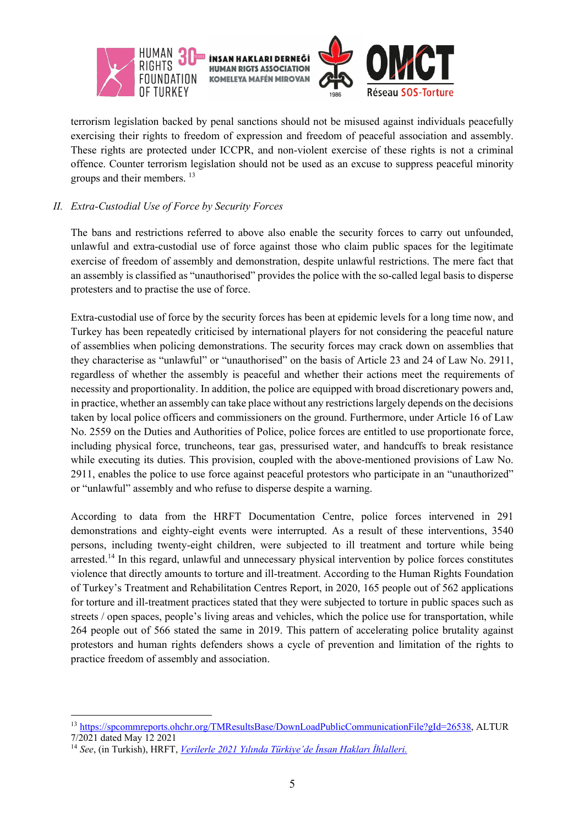

terrorism legislation backed by penal sanctions should not be misused against individuals peacefully exercising their rights to freedom of expression and freedom of peaceful association and assembly. These rights are protected under ICCPR, and non-violent exercise of these rights is not a criminal offence. Counter terrorism legislation should not be used as an excuse to suppress peaceful minority groups and their members.<sup>13</sup>

#### *II. Extra-Custodial Use of Force by Security Forces*

The bans and restrictions referred to above also enable the security forces to carry out unfounded, unlawful and extra-custodial use of force against those who claim public spaces for the legitimate exercise of freedom of assembly and demonstration, despite unlawful restrictions. The mere fact that an assembly is classified as "unauthorised" provides the police with the so-called legal basis to disperse protesters and to practise the use of force.

Extra-custodial use of force by the security forces has been at epidemic levels for a long time now, and Turkey has been repeatedly criticised by international players for not considering the peaceful nature of assemblies when policing demonstrations. The security forces may crack down on assemblies that they characterise as "unlawful" or "unauthorised" on the basis of Article 23 and 24 of Law No. 2911, regardless of whether the assembly is peaceful and whether their actions meet the requirements of necessity and proportionality. In addition, the police are equipped with broad discretionary powers and, in practice, whether an assembly can take place without any restrictions largely depends on the decisions taken by local police officers and commissioners on the ground. Furthermore, under Article 16 of Law No. 2559 on the Duties and Authorities of Police, police forces are entitled to use proportionate force, including physical force, truncheons, tear gas, pressurised water, and handcuffs to break resistance while executing its duties. This provision, coupled with the above-mentioned provisions of Law No. 2911, enables the police to use force against peaceful protestors who participate in an "unauthorized" or "unlawful" assembly and who refuse to disperse despite a warning.

According to data from the HRFT Documentation Centre, police forces intervened in 291 demonstrations and eighty-eight events were interrupted. As a result of these interventions, 3540 persons, including twenty-eight children, were subjected to ill treatment and torture while being arrested.<sup>14</sup> In this regard, unlawful and unnecessary physical intervention by police forces constitutes violence that directly amounts to torture and ill-treatment. According to the Human Rights Foundation of Turkey's Treatment and Rehabilitation Centres Report, in 2020, 165 people out of 562 applications for torture and ill-treatment practices stated that they were subjected to torture in public spaces such as streets / open spaces, people's living areas and vehicles, which the police use for transportation, while 264 people out of 566 stated the same in 2019. This pattern of accelerating police brutality against protestors and human rights defenders shows a cycle of prevention and limitation of the rights to practice freedom of assembly and association.

<sup>13</sup> https://spcommreports.ohchr.org/TMResultsBase/DownLoadPublicCommunicationFile?gId=26538, ALTUR 7/2021 dated May 12 2021

<sup>14</sup> *See*, (in Turkish), HRFT, *Verilerle 2021 Yılında Türkiye'de İnsan Hakları İhlalleri.*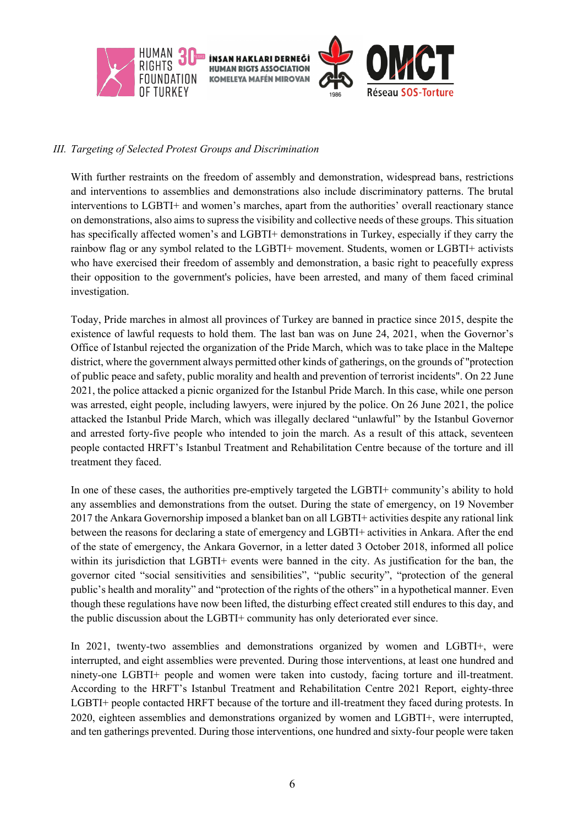

#### *III. Targeting of Selected Protest Groups and Discrimination*

With further restraints on the freedom of assembly and demonstration, widespread bans, restrictions and interventions to assemblies and demonstrations also include discriminatory patterns. The brutal interventions to LGBTI+ and women's marches, apart from the authorities' overall reactionary stance on demonstrations, also aims to supress the visibility and collective needs of these groups. This situation has specifically affected women's and LGBTI+ demonstrations in Turkey, especially if they carry the rainbow flag or any symbol related to the LGBTI+ movement. Students, women or LGBTI+ activists who have exercised their freedom of assembly and demonstration, a basic right to peacefully express their opposition to the government's policies, have been arrested, and many of them faced criminal investigation.

Today, Pride marches in almost all provinces of Turkey are banned in practice since 2015, despite the existence of lawful requests to hold them. The last ban was on June 24, 2021, when the Governor's Office of Istanbul rejected the organization of the Pride March, which was to take place in the Maltepe district, where the government always permitted other kinds of gatherings, on the grounds of "protection of public peace and safety, public morality and health and prevention of terrorist incidents". On 22 June 2021, the police attacked a picnic organized for the Istanbul Pride March. In this case, while one person was arrested, eight people, including lawyers, were injured by the police. On 26 June 2021, the police attacked the Istanbul Pride March, which was illegally declared "unlawful" by the Istanbul Governor and arrested forty-five people who intended to join the march. As a result of this attack, seventeen people contacted HRFT's Istanbul Treatment and Rehabilitation Centre because of the torture and ill treatment they faced.

In one of these cases, the authorities pre-emptively targeted the LGBTI+ community's ability to hold any assemblies and demonstrations from the outset. During the state of emergency, on 19 November 2017 the Ankara Governorship imposed a blanket ban on all LGBTI+ activities despite any rational link between the reasons for declaring a state of emergency and LGBTI+ activities in Ankara. After the end of the state of emergency, the Ankara Governor, in a letter dated 3 October 2018, informed all police within its jurisdiction that LGBTI+ events were banned in the city. As justification for the ban, the governor cited "social sensitivities and sensibilities", "public security", "protection of the general public's health and morality" and "protection of the rights of the others" in a hypothetical manner. Even though these regulations have now been lifted, the disturbing effect created still endures to this day, and the public discussion about the LGBTI+ community has only deteriorated ever since.

In 2021, twenty-two assemblies and demonstrations organized by women and LGBTI+, were interrupted, and eight assemblies were prevented. During those interventions, at least one hundred and ninety-one LGBTI+ people and women were taken into custody, facing torture and ill-treatment. According to the HRFT's Istanbul Treatment and Rehabilitation Centre 2021 Report, eighty-three LGBTI+ people contacted HRFT because of the torture and ill-treatment they faced during protests. In 2020, eighteen assemblies and demonstrations organized by women and LGBTI+, were interrupted, and ten gatherings prevented. During those interventions, one hundred and sixty-four people were taken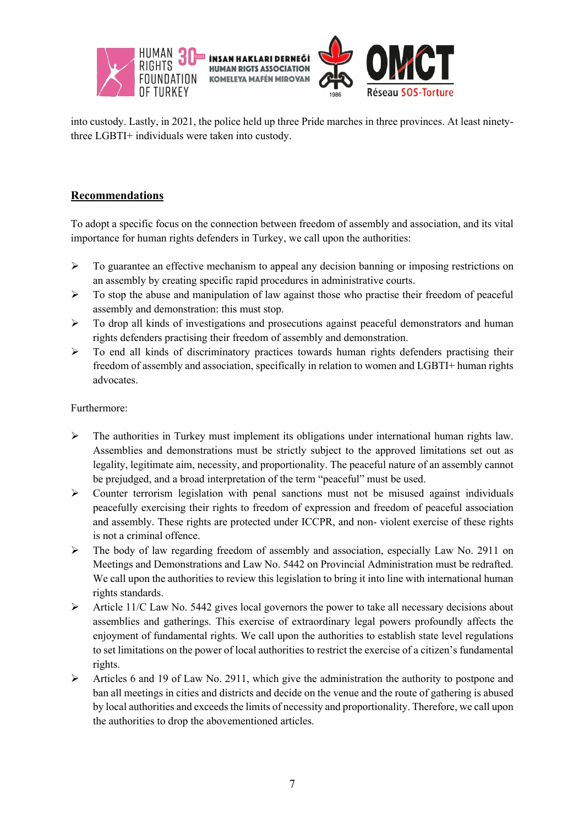

into custody. Lastly, in 2021, the police held up three Pride marches in three provinces. At least ninetythree LGBTI+ individuals were taken into custody.

## **Recommendations**

To adopt a specific focus on the connection between freedom of assembly and association, and its vital importance for human rights defenders in Turkey, we call upon the authorities:

- $\triangleright$  To guarantee an effective mechanism to appeal any decision banning or imposing restrictions on an assembly by creating specific rapid procedures in administrative courts.
- $\triangleright$  To stop the abuse and manipulation of law against those who practise their freedom of peaceful assembly and demonstration: this must stop.
- $\triangleright$  To drop all kinds of investigations and prosecutions against peaceful demonstrators and human rights defenders practising their freedom of assembly and demonstration.
- $\triangleright$  To end all kinds of discriminatory practices towards human rights defenders practising their freedom of assembly and association, specifically in relation to women and LGBTI+ human rights advocates.

Furthermore:

- $\triangleright$  The authorities in Turkey must implement its obligations under international human rights law. Assemblies and demonstrations must be strictly subject to the approved limitations set out as legality, legitimate aim, necessity, and proportionality. The peaceful nature of an assembly cannot be prejudged, and a broad interpretation of the term "peaceful" must be used.
- $\triangleright$  Counter terrorism legislation with penal sanctions must not be misused against individuals peacefully exercising their rights to freedom of expression and freedom of peaceful association and assembly. These rights are protected under ICCPR, and non- violent exercise of these rights is not a criminal offence.
- $\triangleright$  The body of law regarding freedom of assembly and association, especially Law No. 2911 on Meetings and Demonstrations and Law No. 5442 on Provincial Administration must be redrafted. We call upon the authorities to review this legislation to bring it into line with international human rights standards.
- $\triangleright$  Article 11/C Law No. 5442 gives local governors the power to take all necessary decisions about assemblies and gatherings. This exercise of extraordinary legal powers profoundly affects the enjoyment of fundamental rights. We call upon the authorities to establish state level regulations to set limitations on the power of local authorities to restrict the exercise of a citizen's fundamental rights.
- $\triangleright$  Articles 6 and 19 of Law No. 2911, which give the administration the authority to postpone and ban all meetings in cities and districts and decide on the venue and the route of gathering is abused by local authorities and exceeds the limits of necessity and proportionality. Therefore, we call upon the authorities to drop the abovementioned articles.